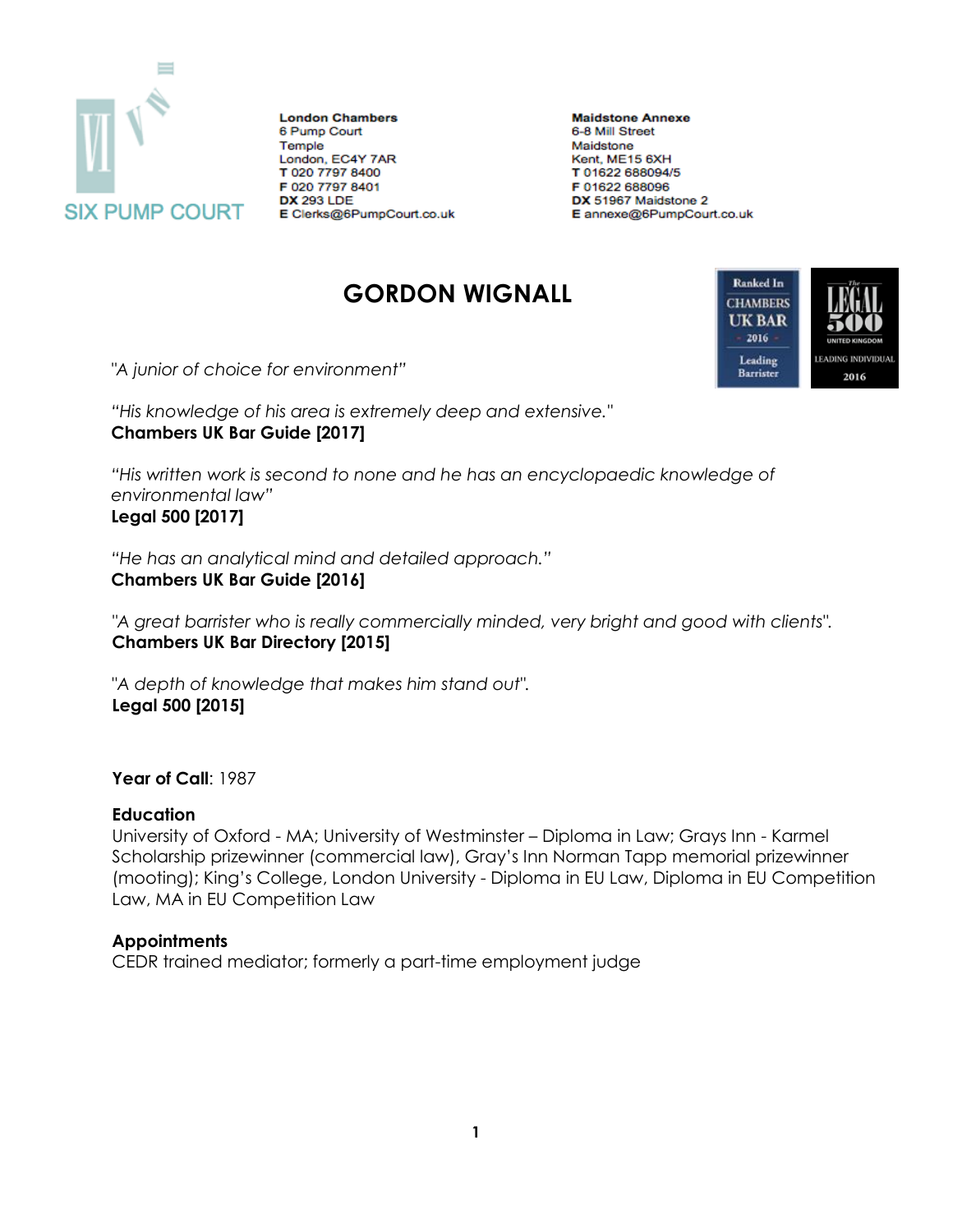

**London Chambers** 6 Pump Court Temple London, EC4Y 7AR T 020 7797 8400 F 020 7797 8401 **DX 293 LDE** E Clerks@6PumpCourt.co.uk

**Maidstone Annexe** 6-8 Mill Street Maidstone Kent, ME15 6XH T 01622 688094/5 F 01622 688096 DX 51967 Maidstone 2 E annexe@6PumpCourt.co.uk

# **GORDON WIGNALL**



*"A junior of choice for environment"*

*"His knowledge of his area is extremely deep and extensive."* **Chambers UK Bar Guide [2017]**

*"His written work is second to none and he has an encyclopaedic knowledge of environmental law"* **Legal 500 [2017]**

*"He has an analytical mind and detailed approach."* **Chambers UK Bar Guide [2016]**

*"A great barrister who is really commercially minded, very bright and good with clients".*  **Chambers UK Bar Directory [2015]**

"*A depth of knowledge that makes him stand out".*  **Legal 500 [2015]**

**Year of Call**: 1987

#### **Education**

University of Oxford - MA; University of Westminster – Diploma in Law; Grays Inn - Karmel Scholarship prizewinner (commercial law), Gray's Inn Norman Tapp memorial prizewinner (mooting); King's College, London University - Diploma in EU Law, Diploma in EU Competition Law, MA in EU Competition Law

### **Appointments**

CEDR trained mediator; formerly a part-time employment judge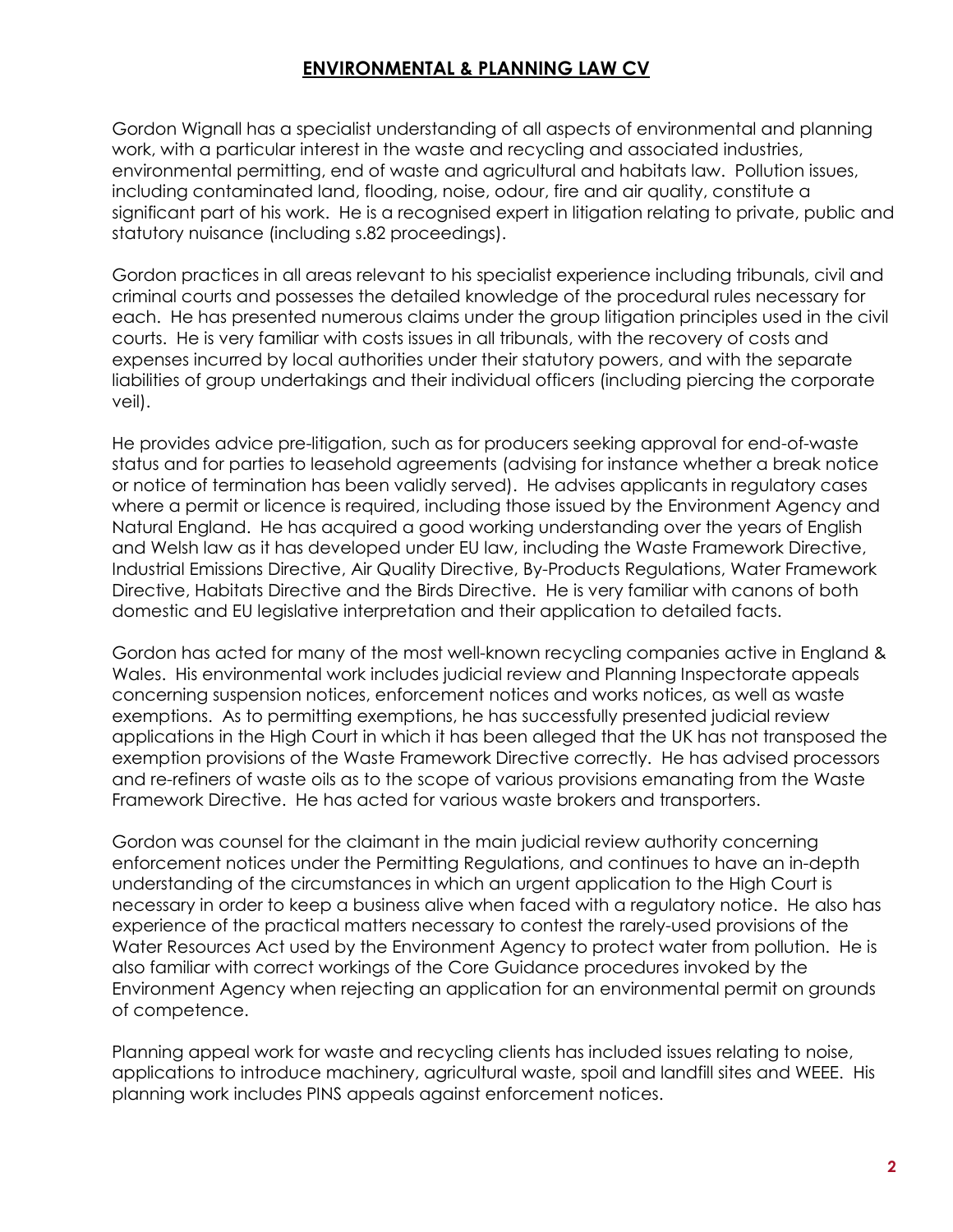# **ENVIRONMENTAL & PLANNING LAW CV**

Gordon Wignall has a specialist understanding of all aspects of environmental and planning work, with a particular interest in the waste and recycling and associated industries, environmental permitting, end of waste and agricultural and habitats law. Pollution issues, including contaminated land, flooding, noise, odour, fire and air quality, constitute a significant part of his work. He is a recognised expert in litigation relating to private, public and statutory nuisance (including s.82 proceedings).

Gordon practices in all areas relevant to his specialist experience including tribunals, civil and criminal courts and possesses the detailed knowledge of the procedural rules necessary for each. He has presented numerous claims under the group litigation principles used in the civil courts. He is very familiar with costs issues in all tribunals, with the recovery of costs and expenses incurred by local authorities under their statutory powers, and with the separate liabilities of group undertakings and their individual officers (including piercing the corporate veil).

He provides advice pre-litigation, such as for producers seeking approval for end-of-waste status and for parties to leasehold agreements (advising for instance whether a break notice or notice of termination has been validly served). He advises applicants in regulatory cases where a permit or licence is required, including those issued by the Environment Agency and Natural England. He has acquired a good working understanding over the years of English and Welsh law as it has developed under EU law, including the Waste Framework Directive, Industrial Emissions Directive, Air Quality Directive, By-Products Regulations, Water Framework Directive, Habitats Directive and the Birds Directive. He is very familiar with canons of both domestic and EU legislative interpretation and their application to detailed facts.

Gordon has acted for many of the most well-known recycling companies active in England & Wales. His environmental work includes judicial review and Planning Inspectorate appeals concerning suspension notices, enforcement notices and works notices, as well as waste exemptions. As to permitting exemptions, he has successfully presented judicial review applications in the High Court in which it has been alleged that the UK has not transposed the exemption provisions of the Waste Framework Directive correctly. He has advised processors and re-refiners of waste oils as to the scope of various provisions emanating from the Waste Framework Directive. He has acted for various waste brokers and transporters.

Gordon was counsel for the claimant in the main judicial review authority concerning enforcement notices under the Permitting Regulations, and continues to have an in-depth understanding of the circumstances in which an urgent application to the High Court is necessary in order to keep a business alive when faced with a regulatory notice. He also has experience of the practical matters necessary to contest the rarely-used provisions of the Water Resources Act used by the Environment Agency to protect water from pollution. He is also familiar with correct workings of the Core Guidance procedures invoked by the Environment Agency when rejecting an application for an environmental permit on grounds of competence.

Planning appeal work for waste and recycling clients has included issues relating to noise, applications to introduce machinery, agricultural waste, spoil and landfill sites and WEEE. His planning work includes PINS appeals against enforcement notices.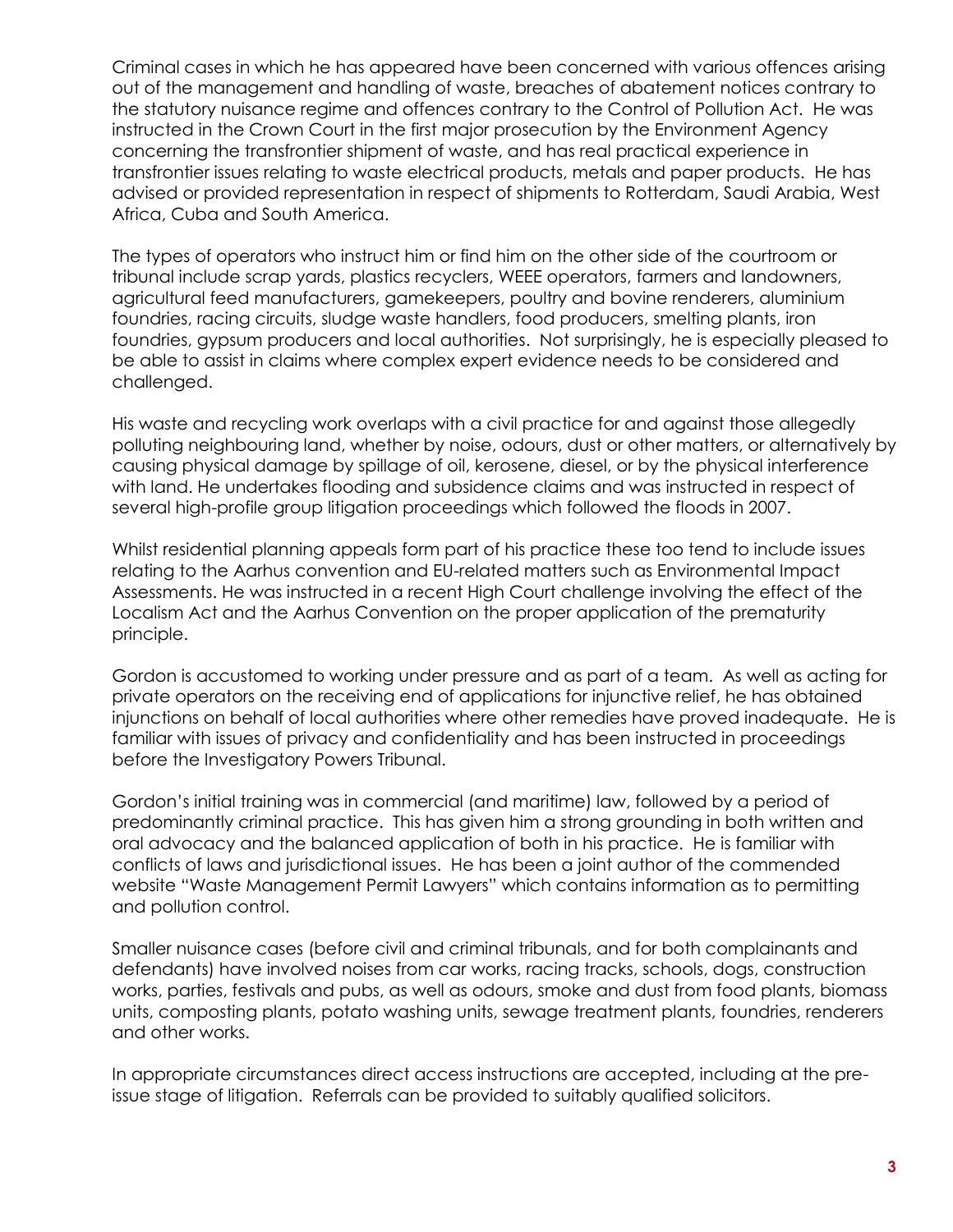Criminal cases in which he has appeared have been concerned with various offences arising out of the management and handling of waste, breaches of abatement notices contrary to the statutory nuisance regime and offences contrary to the Control of Pollution Act. He was instructed in the Crown Court in the first major prosecution by the Environment Agency concerning the transfrontier shipment of waste, and has real practical experience in transfrontier issues relating to waste electrical products, metals and paper products. He has advised or provided representation in respect of shipments to Rotterdam, Saudi Arabia, West Africa, Cuba and South America.

The types of operators who instruct him or find him on the other side of the courtroom or tribunal include scrap yards, plastics recyclers, WEEE operators, farmers and landowners, agricultural feed manufacturers, gamekeepers, poultry and bovine renderers, aluminium foundries, racing circuits, sludge waste handlers, food producers, smelting plants, iron foundries, gypsum producers and local authorities. Not surprisingly, he is especially pleased to be able to assist in claims where complex expert evidence needs to be considered and challenged.

His waste and recycling work overlaps with a civil practice for and against those allegedly polluting neighbouring land, whether by noise, odours, dust or other matters, or alternatively by causing physical damage by spillage of oil, kerosene, diesel, or by the physical interference with land. He undertakes flooding and subsidence claims and was instructed in respect of several high-profile group litigation proceedings which followed the floods in 2007.

Whilst residential planning appeals form part of his practice these too tend to include issues relating to the Aarhus convention and EU-related matters such as Environmental Impact Assessments. He was instructed in a recent High Court challenge involving the effect of the Localism Act and the Aarhus Convention on the proper application of the prematurity principle.

Gordon is accustomed to working under pressure and as part of a team. As well as acting for private operators on the receiving end of applications for injunctive relief, he has obtained injunctions on behalf of local authorities where other remedies have proved inadequate. He is familiar with issues of privacy and confidentiality and has been instructed in proceedings before the Investigatory Powers Tribunal.

Gordon's initial training was in commercial (and maritime) law, followed by a period of predominantly criminal practice. This has given him a strong grounding in both written and oral advocacy and the balanced application of both in his practice. He is familiar with conflicts of laws and jurisdictional issues. He has been a joint author of the commended website "Waste Management Permit Lawyers" which contains information as to permitting and pollution control.

Smaller nuisance cases (before civil and criminal tribunals, and for both complainants and defendants) have involved noises from car works, racing tracks, schools, dogs, construction works, parties, festivals and pubs, as well as odours, smoke and dust from food plants, biomass units, composting plants, potato washing units, sewage treatment plants, foundries, renderers and other works.

In appropriate circumstances direct access instructions are accepted, including at the preissue stage of litigation. Referrals can be provided to suitably qualified solicitors.